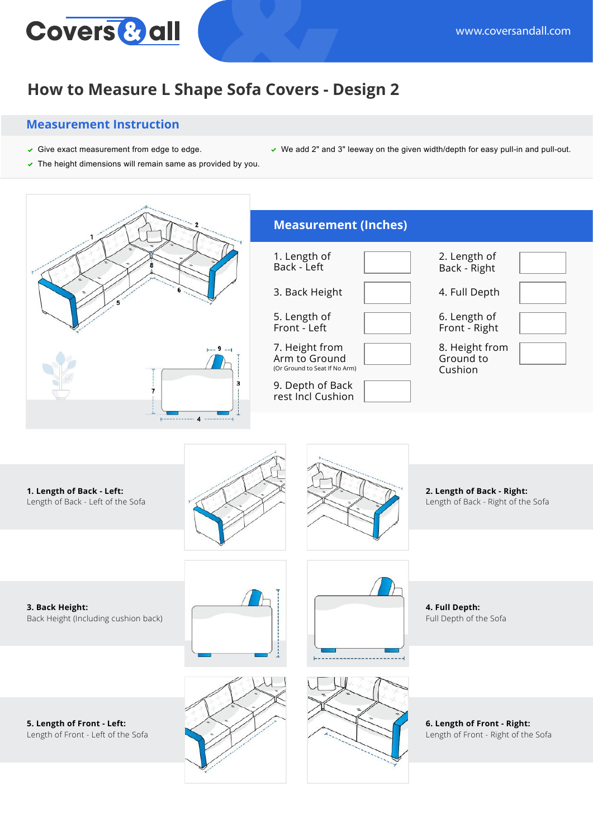

## **How to Measure L Shape Sofa Covers - Design 2**

## **Measurement Instruction**

- Give exact measurement from edge to edge. We add 2" and 3" leeway on the given width/depth for easy pull-in and pull-out.
- $\triangledown$  The height dimensions will remain same as provided by you.
- **1. Length of Back Left:** Length of Back - Left of the Sofa **3. Back Height:** Back Height (Including cushion back) **2. Length of Back - Right:** Length of Back - Right of the Sofa **4. Full Depth:** Full Depth of the Sofa **5. Length of Front - Left:** Length of Front - Left of the Sofa **6. Length of Front - Right:** Length of Front - Right of the Sofa **Measurement (Inches)** 1. Length of Back - Left 3. Back Height 5. Length of Front - Left 8. Height from Ground to Cushion 2. Length of Back - Right 4. Full Depth 6. Length of Front - Right 7. Height from Arm to Ground (Or Ground to Seat If No Arm) 9. Depth of Back rest Incl Cushion